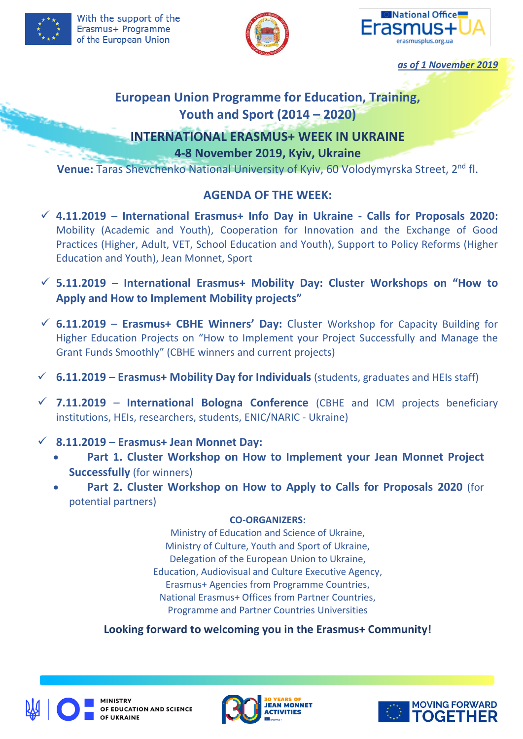



*as of 1 November 2019*

# **European Union Programme for Education, Training, Youth and Sport (2014 – 2020)**

# **INTERNATIONAL ERASMUS+ WEEK IN UKRAINE 4-8 November 2019, Kyiv, Ukraine**

Venue: Taras Shevchenko National University of Kyiv, 60 Volodymyrska Street, 2<sup>nd</sup> fl.

# **AGENDA OF THE WEEK:**

- **4.11.2019 International Erasmus+ Info Day in Ukraine - Calls for Proposals 2020:**  Mobility (Academic and Youth), Cooperation for Innovation and the Exchange of Good Practices (Higher, Adult, VET, School Education and Youth), Support to Policy Reforms (Higher Education and Youth), Jean Monnet, Sport
- **5.11.2019 International Erasmus+ Mobility Day: Cluster Workshops on "How to Apply and How to Implement Mobility projects"**
- **6.11.2019 Erasmus+ CBHE Winners' Day:** Cluster Workshop for Capacity Building for Higher Education Projects on "How to Implement your Project Successfully and Manage the Grant Funds Smoothly" (CBHE winners and current projects)
- **6.11.2019** *–* **Erasmus+ Mobility Day for Individuals** (students, graduates and HEIs staff)
- **7.11.2019 International Bologna Conference** (CBHE and ICM projects beneficiary institutions, HEIs, researchers, students, ENIC/NARIC - Ukraine)
- **8.11.2019 Erasmus+ Jean Monnet Day:**
	- **Part 1. Cluster Workshop on How to Implement your Jean Monnet Project Successfully** (for winners)
	- **Part 2. Cluster Workshop on How to Apply to Calls for Proposals 2020** (for potential partners)

# **CO-ORGANIZERS:**

Ministry of Education and Science of Ukraine, Ministry of Culture, Youth and Sport of Ukraine, Delegation of the European Union to Ukraine, Education, Audiovisual and Culture Executive Agency, Erasmus+ Agencies from Programme Countries, National Erasmus+ Offices from Partner Countries, Programme and Partner Countries Universities

# **Looking forward to welcoming you in the Erasmus+ Community!**



**MINISTRY** OF EDUCATION AND SCIENCE OF UKRAINE



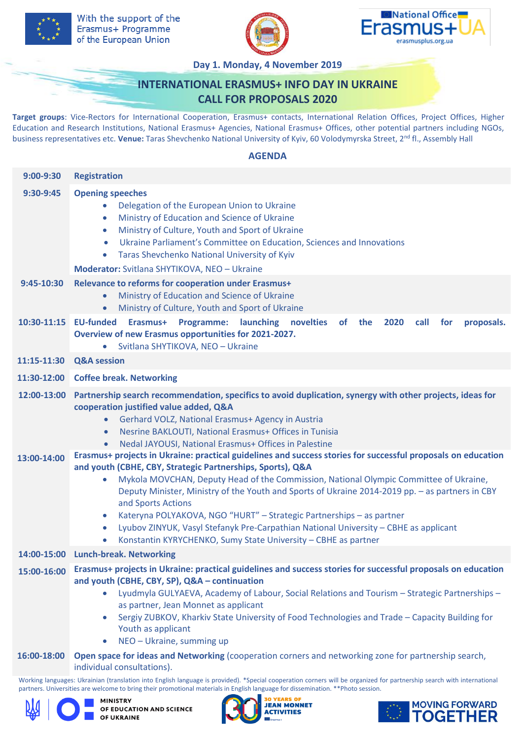





**Day 1. Monday, 4 November 2019**

# **INTERNATIONAL ERASMUS+ INFO DAY IN UKRAINE CALL FOR PROPOSALS 2020**

**Target groups**: Vice-Rectors for International Cooperation, Erasmus+ contacts, International Relation Offices, Project Offices, Higher Education and Research Institutions, National Erasmus+ Agencies, National Erasmus+ Offices, other potential partners including NGOs, business representatives etc. **Venue:** Taras Shevchenko National University of Kyiv, 60 Volodymyrska Street, 2 nd fl., Assembly Hall

### **AGENDA**

| 9:00-9:30   | <b>Registration</b>                                                                                                                                                                                                                                                                                                                                                                                                                                                                                                                                                                                                                                                                                          |
|-------------|--------------------------------------------------------------------------------------------------------------------------------------------------------------------------------------------------------------------------------------------------------------------------------------------------------------------------------------------------------------------------------------------------------------------------------------------------------------------------------------------------------------------------------------------------------------------------------------------------------------------------------------------------------------------------------------------------------------|
| 9:30-9:45   | <b>Opening speeches</b><br>Delegation of the European Union to Ukraine<br>Ministry of Education and Science of Ukraine<br>$\bullet$<br>Ministry of Culture, Youth and Sport of Ukraine<br>$\bullet$<br>Ukraine Parliament's Committee on Education, Sciences and Innovations<br>$\bullet$<br>Taras Shevchenko National University of Kyiv<br>$\bullet$<br>Moderator: Svitlana SHYTIKOVA, NEO - Ukraine                                                                                                                                                                                                                                                                                                       |
| 9:45-10:30  | Relevance to reforms for cooperation under Erasmus+<br>Ministry of Education and Science of Ukraine<br>$\bullet$<br>Ministry of Culture, Youth and Sport of Ukraine<br>$\bullet$                                                                                                                                                                                                                                                                                                                                                                                                                                                                                                                             |
|             | 10:30-11:15 EU-funded Erasmus+ Programme: launching novelties<br>of the<br>2020<br>call<br>for<br>proposals.<br>Overview of new Erasmus opportunities for 2021-2027.<br>Svitlana SHYTIKOVA, NEO - Ukraine<br>$\bullet$                                                                                                                                                                                                                                                                                                                                                                                                                                                                                       |
| 11:15-11:30 | <b>Q&amp;A</b> session                                                                                                                                                                                                                                                                                                                                                                                                                                                                                                                                                                                                                                                                                       |
|             | 11:30-12:00 Coffee break. Networking                                                                                                                                                                                                                                                                                                                                                                                                                                                                                                                                                                                                                                                                         |
| 12:00-13:00 | Partnership search recommendation, specifics to avoid duplication, synergy with other projects, ideas for<br>cooperation justified value added, Q&A<br>Gerhard VOLZ, National Erasmus+ Agency in Austria<br>$\bullet$<br>Nesrine BAKLOUTI, National Erasmus+ Offices in Tunisia<br>$\bullet$<br>Nedal JAYOUSI, National Erasmus+ Offices in Palestine<br>$\bullet$                                                                                                                                                                                                                                                                                                                                           |
| 13:00-14:00 | Erasmus+ projects in Ukraine: practical guidelines and success stories for successful proposals on education<br>and youth (CBHE, CBY, Strategic Partnerships, Sports), Q&A<br>Mykola MOVCHAN, Deputy Head of the Commission, National Olympic Committee of Ukraine,<br>Deputy Minister, Ministry of the Youth and Sports of Ukraine 2014-2019 pp. - as partners in CBY<br>and Sports Actions<br>Kateryna POLYAKOVA, NGO "HURT" - Strategic Partnerships - as partner<br>$\bullet$<br>Lyubov ZINYUK, Vasyl Stefanyk Pre-Carpathian National University - CBHE as applicant<br>$\bullet$<br>Konstantin KYRYCHENKO, Sumy State University - CBHE as partner<br>$\bullet$<br>14:00-15:00 Lunch-break. Networking |
| 15:00-16:00 | Erasmus+ projects in Ukraine: practical guidelines and success stories for successful proposals on education                                                                                                                                                                                                                                                                                                                                                                                                                                                                                                                                                                                                 |
|             | and youth (CBHE, CBY, SP), Q&A - continuation<br>Lyudmyla GULYAEVA, Academy of Labour, Social Relations and Tourism - Strategic Partnerships -<br>$\bullet$<br>as partner, Jean Monnet as applicant<br>Sergiy ZUBKOV, Kharkiv State University of Food Technologies and Trade - Capacity Building for<br>Youth as applicant<br>NEO - Ukraine, summing up<br>$\bullet$                                                                                                                                                                                                                                                                                                                                        |
| 16:00-18:00 | Open space for ideas and Networking (cooperation corners and networking zone for partnership search,<br>individual consultations).                                                                                                                                                                                                                                                                                                                                                                                                                                                                                                                                                                           |

Working languages: Ukrainian (translation into English language is provided). \*Special cooperation corners will be organized for partnership search with international partners. Universities are welcome to bring their promotional materials in English language for dissemination. \*\*Photo session.



**MINISTRY** OF EDUCATION AND SCIENCE OF UKRAINE



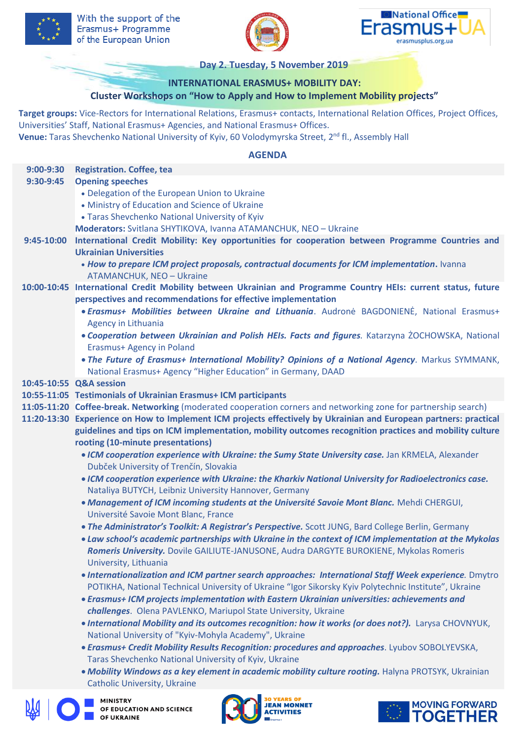





**Day 2. Tuesday, 5 November 2019**

# **INTERNATIONAL ERASMUS+ MOBILITY DAY:**

# **Cluster Workshops on "How to Apply and How to Implement Mobility projects"**

**Target groups:** Vice-Rectors for International Relations, Erasmus+ contacts, International Relation Offices, Project Offices, Universities' Staff, National Erasmus+ Agencies, and National Erasmus+ Offices.

Venue: Taras Shevchenko National University of Kyiv, 60 Volodymyrska Street, 2<sup>nd</sup> fl., Assembly Hall

# **AGENDA**

| $9:00-9:30$ | <b>Registration. Coffee, tea</b>                                                                                                                                                                                         |
|-------------|--------------------------------------------------------------------------------------------------------------------------------------------------------------------------------------------------------------------------|
| 9:30-9:45   | <b>Opening speeches</b>                                                                                                                                                                                                  |
|             | • Delegation of the European Union to Ukraine                                                                                                                                                                            |
|             | • Ministry of Education and Science of Ukraine                                                                                                                                                                           |
|             | • Taras Shevchenko National University of Kyiv                                                                                                                                                                           |
|             | Moderators: Svitlana SHYTIKOVA, Ivanna ATAMANCHUK, NEO - Ukraine                                                                                                                                                         |
| 9:45-10:00  | International Credit Mobility: Key opportunities for cooperation between Programme Countries and<br><b>Ukrainian Universities</b>                                                                                        |
|             | . How to prepare ICM project proposals, contractual documents for ICM implementation. Ivanna<br><b>ATAMANCHUK, NEO - Ukraine</b>                                                                                         |
|             | 10:00-10:45 International Credit Mobility between Ukrainian and Programme Country HEIs: current status, future<br>perspectives and recommendations for effective implementation                                          |
|             | • Erasmus+ Mobilities between Ukraine and Lithuania. Audronė BAGDONIENĖ, National Erasmus+<br>Agency in Lithuania                                                                                                        |
|             | . Cooperation between Ukrainian and Polish HEIs. Facts and figures. Katarzyna ŻOCHOWSKA, National<br><b>Erasmus+ Agency in Poland</b>                                                                                    |
|             | . The Future of Erasmus+ International Mobility? Opinions of a National Agency. Markus SYMMANK,<br>National Erasmus+ Agency "Higher Education" in Germany, DAAD                                                          |
|             | 10:45-10:55 Q&A session                                                                                                                                                                                                  |
|             | 10:55-11:05 Testimonials of Ukrainian Erasmus+ ICM participants                                                                                                                                                          |
|             | 11:05-11:20 Coffee-break. Networking (moderated cooperation corners and networking zone for partnership search)                                                                                                          |
|             | 11:20-13:30 Experience on How to Implement ICM projects effectively by Ukrainian and European partners: practical                                                                                                        |
|             | guidelines and tips on ICM implementation, mobility outcomes recognition practices and mobility culture                                                                                                                  |
|             | rooting (10-minute presentations)                                                                                                                                                                                        |
|             | . ICM cooperation experience with Ukraine: the Sumy State University case. Jan KRMELA, Alexander                                                                                                                         |
|             | Dubček University of Trenčín, Slovakia                                                                                                                                                                                   |
|             | . ICM cooperation experience with Ukraine: the Kharkiv National University for Radioelectronics case.<br>Nataliya BUTYCH, Leibniz University Hannover, Germany                                                           |
|             | . Management of ICM incoming students at the Université Savoie Mont Blanc. Mehdi CHERGUI,<br>Université Savoie Mont Blanc, France                                                                                        |
|             | . The Administrator's Toolkit: A Registrar's Perspective. Scott JUNG, Bard College Berlin, Germany                                                                                                                       |
|             | • Law school's academic partnerships with Ukraine in the context of ICM implementation at the Mykolas<br>Romeris University. Dovile GAILIUTE-JANUSONE, Audra DARGYTE BUROKIENE, Mykolas Romeris<br>University, Lithuania |
|             | . Internationalization and ICM partner search approaches: International Staff Week experience. Dmytro<br>POTIKHA, National Technical University of Ukraine "Igor Sikorsky Kyiv Polytechnic Institute", Ukraine           |
|             | • Erasmus+ ICM projects implementation with Eastern Ukrainian universities: achievements and<br>challenges. Olena PAVLENKO, Mariupol State University, Ukraine                                                           |
|             | . International Mobility and its outcomes recognition: how it works (or does not?). Larysa CHOVNYUK,<br>National University of "Kyiv-Mohyla Academy", Ukraine                                                            |
|             | • Erasmus+ Credit Mobility Results Recognition: procedures and approaches. Lyubov SOBOLYEVSKA,<br>Taras Shevchenko National University of Kyiv, Ukraine                                                                  |
|             | . Mobility Windows as a key element in academic mobility culture rooting. Halyna PROTSYK, Ukrainian<br><b>Catholic University, Ukraine</b>                                                                               |
|             | MINISTRY<br><b>MOVING FORWARD</b><br>OF EDUCATION AND SCIENCE<br><b>TOGETHER</b><br><b>FUKRAINE</b>                                                                                                                      |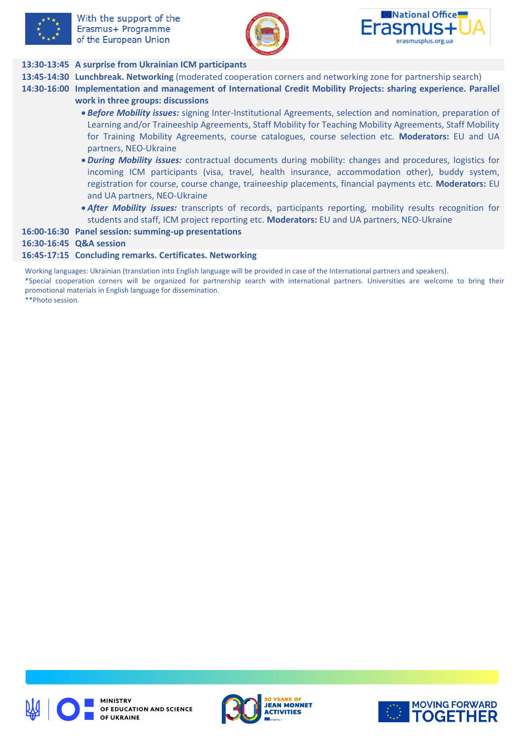





# **13:30-13:45 A surprise from Ukrainian ICM participants**

- **13:45-14:30 Lunchbreak. Networking** (moderated cooperation corners and networking zone for partnership search)
- **14:30-16:00 Implementation and management of International Credit Mobility Projects: sharing experience. Parallel work in three groups: discussions**
	- *Before Mobility issues:* signing Inter-Institutional Agreements, selection and nomination, preparation of Learning and/or Traineeship Agreements, Staff Mobility for Teaching Mobility Agreements, Staff Mobility for Training Mobility Agreements, course catalogues, course selection etc. **Moderators:** EU and UA partners, NEO-Ukraine
	- *During Mobility issues:* contractual documents during mobility: changes and procedures, logistics for incoming ICM participants (visa, travel, health insurance, accommodation other), buddy system, registration for course, course change, traineeship placements, financial payments etc. **Moderators:** EU and UA partners, NEO-Ukraine
	- *After Mobility issues:* transcripts of records, participants reporting, mobility results recognition for students and staff, ICM project reporting etc. **Moderators:** EU and UA partners, NEO-Ukraine

#### **16:00-16:30 Panel session: summing-up presentations**

### **16:30-16:45 Q&A session**

#### **16:45-17:15 Concluding remarks. Certificates. Networking**

Working languages: Ukrainian (translation into English language will be provided in case of the International partners and speakers).

\*Special cooperation corners will be organized for partnership search with international partners. Universities are welcome to bring their promotional materials in English language for dissemination.

\*\*Photo session.





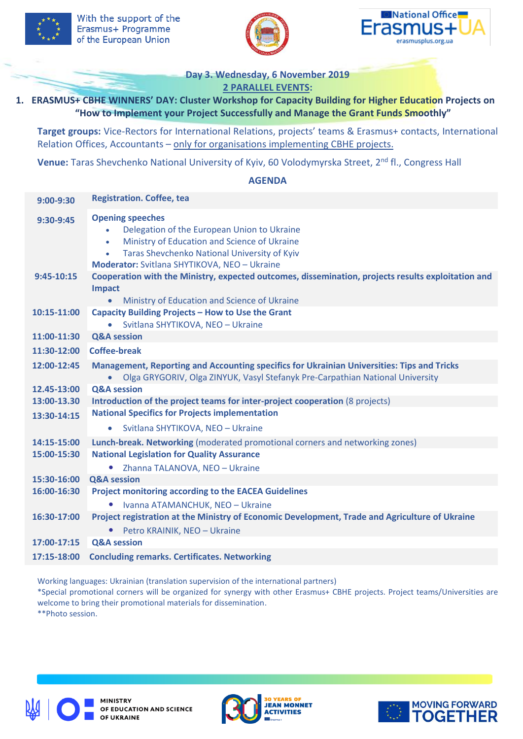





**Day 3. Wednesday, 6 November 2019 2 PARALLEL EVENTS:** 

# **1. ERASMUS+ CBHE WINNERS' DAY: Cluster Workshop for Capacity Building for Higher Education Projects on "How to Implement your Project Successfully and Manage the Grant Funds Smoothly"**

**Target groups:** Vice-Rectors for International Relations, projects' teams & Erasmus+ contacts, International Relation Offices, Accountants – only for organisations implementing CBHE projects.

**Venue:** Taras Shevchenko National University of Kyiv, 60 Volodymyrska Street, 2<sup>nd</sup> fl., Congress Hall

#### **AGENDA**

| $9:00-9:30$ | <b>Registration. Coffee, tea</b>                                                                                                                                                                                                                              |
|-------------|---------------------------------------------------------------------------------------------------------------------------------------------------------------------------------------------------------------------------------------------------------------|
| 9:30-9:45   | <b>Opening speeches</b><br>Delegation of the European Union to Ukraine<br>$\bullet$<br>Ministry of Education and Science of Ukraine<br>$\bullet$<br>Taras Shevchenko National University of Kyiv<br>$\bullet$<br>Moderator: Svitlana SHYTIKOVA, NEO - Ukraine |
| 9:45-10:15  | Cooperation with the Ministry, expected outcomes, dissemination, projects results exploitation and<br><b>Impact</b><br>Ministry of Education and Science of Ukraine<br>$\bullet$                                                                              |
| 10:15-11:00 | Capacity Building Projects - How to Use the Grant<br>Svitlana SHYTIKOVA, NEO - Ukraine                                                                                                                                                                        |
| 11:00-11:30 | <b>Q&amp;A session</b>                                                                                                                                                                                                                                        |
| 11:30-12:00 | <b>Coffee-break</b>                                                                                                                                                                                                                                           |
| 12:00-12:45 | Management, Reporting and Accounting specifics for Ukrainian Universities: Tips and Tricks<br>Olga GRYGORIV, Olga ZINYUK, Vasyl Stefanyk Pre-Carpathian National University<br>$\bullet$                                                                      |
| 12.45-13:00 | <b>Q&amp;A session</b>                                                                                                                                                                                                                                        |
| 13:00-13.30 | Introduction of the project teams for inter-project cooperation (8 projects)                                                                                                                                                                                  |
| 13:30-14:15 | <b>National Specifics for Projects implementation</b>                                                                                                                                                                                                         |
|             | Svitlana SHYTIKOVA, NEO - Ukraine<br>$\bullet$                                                                                                                                                                                                                |
| 14:15-15:00 | Lunch-break. Networking (moderated promotional corners and networking zones)                                                                                                                                                                                  |
| 15:00-15:30 | <b>National Legislation for Quality Assurance</b>                                                                                                                                                                                                             |
|             | Zhanna TALANOVA, NEO - Ukraine<br>$\bullet$                                                                                                                                                                                                                   |
| 15:30-16:00 | <b>Q&amp;A session</b>                                                                                                                                                                                                                                        |
| 16:00-16:30 | <b>Project monitoring according to the EACEA Guidelines</b>                                                                                                                                                                                                   |
|             | Ivanna ATAMANCHUK, NEO - Ukraine                                                                                                                                                                                                                              |
| 16:30-17:00 | Project registration at the Ministry of Economic Development, Trade and Agriculture of Ukraine                                                                                                                                                                |
|             | Petro KRAINIK, NEO - Ukraine<br>$\bullet$                                                                                                                                                                                                                     |
| 17:00-17:15 | <b>Q&amp;A session</b>                                                                                                                                                                                                                                        |
| 17:15-18:00 | <b>Concluding remarks. Certificates. Networking</b>                                                                                                                                                                                                           |

Working languages: Ukrainian (translation supervision of the international partners)

\*Special promotional corners will be organized for synergy with other Erasmus+ CBHE projects. Project teams/Universities are welcome to bring their promotional materials for dissemination.

\*\*Photo session.





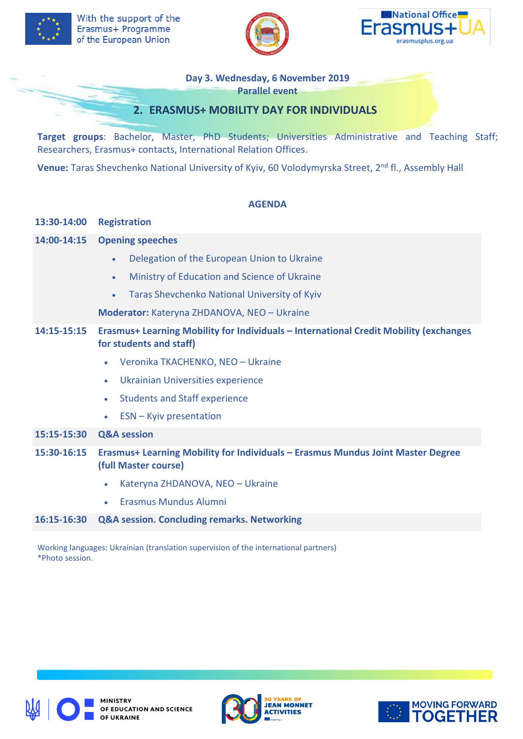





**Day 3. Wednesday, 6 November 2019**

**Parallel event**

# **2. ERASMUS+ MOBILITY DAY FOR INDIVIDUALS**

**Target groups**: Bachelor, Master, PhD Students; Universities Administrative and Teaching Staff; Researchers, Erasmus+ contacts, International Relation Offices.

**Venue:** Taras Shevchenko National University of Kyiv, 60 Volodymyrska Street, 2 nd fl., Assembly Hall

# **AGENDA**

| 13:30-14:00 | <b>Registration</b>                                                                                              |
|-------------|------------------------------------------------------------------------------------------------------------------|
| 14:00-14:15 | <b>Opening speeches</b>                                                                                          |
|             | Delegation of the European Union to Ukraine<br>$\bullet$                                                         |
|             | Ministry of Education and Science of Ukraine<br>$\bullet$                                                        |
|             | Taras Shevchenko National University of Kyiv<br>$\bullet$                                                        |
|             | Moderator: Kateryna ZHDANOVA, NEO - Ukraine                                                                      |
| 14:15-15:15 | Erasmus+ Learning Mobility for Individuals - International Credit Mobility (exchanges<br>for students and staff) |
|             | Veronika TKACHENKO, NEO - Ukraine<br>$\bullet$                                                                   |
|             | Ukrainian Universities experience<br>$\bullet$                                                                   |
|             | <b>Students and Staff experience</b><br>$\bullet$                                                                |
|             | ESN - Kyiv presentation                                                                                          |
| 15:15-15:30 | <b>Q&amp;A session</b>                                                                                           |
| 15:30-16:15 | <b>Erasmus+ Learning Mobility for Individuals - Erasmus Mundus Joint Master Degree</b><br>(full Master course)   |
|             | Kateryna ZHDANOVA, NEO - Ukraine<br>۰                                                                            |
|             | Erasmus Mundus Alumni<br>$\bullet$                                                                               |
| 16:15-16:30 | Q&A session. Concluding remarks. Networking                                                                      |

Working languages: Ukrainian (translation supervision of the international partners) \*Photo session.





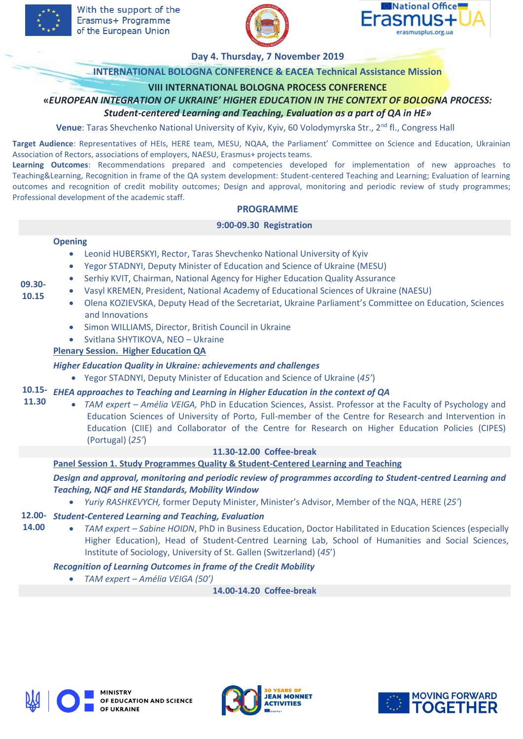



#### **Day 4. Thursday, 7 November 2019**

### **INTERNATIONAL BOLOGNA CONFERENCE & EACEA Technical Assistance Mission**

### **VIII INTERNATIONAL BOLOGNA PROCESS CONFERENCE**

**«***EUROPEAN INTEGRATION OF UKRAINE' HIGHER EDUCATION IN THE CONTEXT OF BOLOGNA PROCESS:*

# *Student-centered Learning and Teaching, Evaluation as a part of QA in HE»*

Venue: Taras Shevchenko National University of Kyiv, Kyiv, 60 Volodymyrska Str., 2<sup>nd</sup> fl., Congress Hall

**Target Audience**: Representatives of HEIs, HERE team, MESU, NQAA, the Parliament' Committee on Science and Education, Ukrainian Association of Rectors, associations of employers, NAESU, Erasmus+ projects teams.

**Learning Outcomes**: Recommendations prepared and competencies developed for implementation of new approaches to Teaching&Learning, Recognition in frame of the QA system development: Student-centered Teaching and Learning; Evaluation of learning outcomes and recognition of credit mobility outcomes; Design and approval, monitoring and periodic review of study programmes; Professional development of the academic staff.

#### **PROGRAMME**

#### **9:00-09.30 Registration**

#### **Opening**

- Leonid HUBERSKYI, Rector, Taras Shevchenko National University of Kyiv
- Yegor STADNYI, Deputy Minister of Education and Science of Ukraine (MESU)
- Serhiy KVIT, Chairman, National Agency for Higher Education Quality Assurance
- Vasyl KREMEN, President, National Academy of Educational Sciences of Ukraine (NAESU)
- Olena KOZIEVSKA, Deputy Head of the Secretariat, Ukraine Parliament's Committee on Education, Sciences and Innovations
	- Simon WILLIAMS, Director, British Council in Ukraine
	- Svitlana SHYTIKOVA, NEO Ukraine

### **Plenary Session. Higher Education QA**

### *Higher Education Quality in Ukraine: achievements and challenges*

Yegor STADNYI, Deputy Minister of Education and Science of Ukraine (*45'*)

#### **10.15-** *EHEA approaches to Teaching and Learning in Higher Education in the context of QA* **11.30**

• *TAM expert – Amélia VEIGA, PhD in Education Sciences, Assist. Professor at the Faculty of Psychology and* Education Sciences of University of Porto, Full-member of the Centre for Research and Intervention in Education (CIIE) and Collaborator of the Centre for Research on Higher Education Policies (CIPES) (Portugal) (*25'*)

### **11.30-12.00 Coffee-break**

### **Panel Session 1. Study Programmes Quality & Student-Centered Learning and Teaching**

*Design and approval, monitoring and periodic review of programmes according to Student-centred Learning and Teaching, NQF and HE Standards, Mobility Window*

*Yuriy RASHKEVYCH,* former Deputy Minister, Minister's Advisor, Member of the NQA, HERE (*25'*)

# **12.00-** *Student-Centered Learning and Teaching, Evaluation*

 *TAM expert – Sabine HOIDN*, PhD in Business Education, Doctor Habilitated in Education Sciences (especially Higher Education), Head of Student-Centred Learning Lab, School of Humanities and Social Sciences, Institute of Sociology, University of St. Gallen (Switzerland) (*45*')

### *Recognition of Learning Outcomes in frame of the Credit Mobility*

*TAM expert – Amélia VEIGA (50')*

**14.00-14.20 Coffee-break** 







**09.30- 10.15**

**14.00**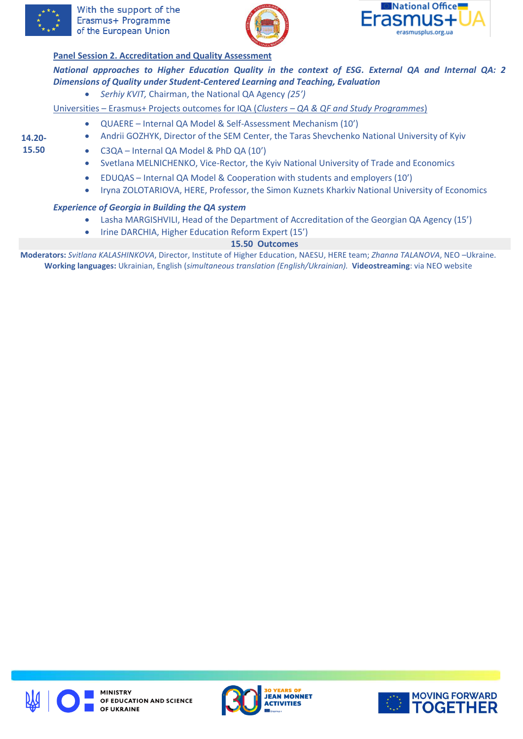





# **Panel Session 2. Accreditation and Quality Assessment**

*National approaches to Higher Education Quality in the context of ESG. External QA and Internal QA: 2 Dimensions of Quality under Student-Centered Learning and Teaching, Evaluation*

*Serhiy KVIT,* Chairman, the National QA Agency *(25')*

Universities – Erasmus+ Projects outcomes for IQA (*Clusters – QA & QF and Study Programmes*)

- QUAERE Internal QA Model & Self-Assessment Mechanism (10')
- **14.20- 15.50**
- Andrii GOZHYK, Director of the SEM Center, the Taras Shevchenko National University of Kyiv
- C3QA Internal QA Model & PhD QA (10')
- Svetlana MELNICHENKO, Vice-Rector, the Kyiv National University of Trade and Economics
- EDUQAS Internal QA Model & Cooperation with students and employers (10')
- Iryna ZOLOTARIOVA, HERE, Professor, the Simon Kuznets Kharkiv National University of Economics

### *Experience of Georgia in Building the QA system*

- Lasha MARGISHVILI, Head of the Department of Accreditation of the Georgian QA Agency (15')
- Irine DARCHIA, Higher Education Reform Expert (15')

# **15.50 Outcomes**

**Moderators:** *Svitlana KALASHINKOVA*, Director, Institute of Higher Education, NAESU, HERE team; *Zhanna TALANOVA*, NEO –Ukraine. **Working languages:** Ukrainian, English (*simultaneous translation (English/Ukrainian).* **Videostreaming**: via NEO website